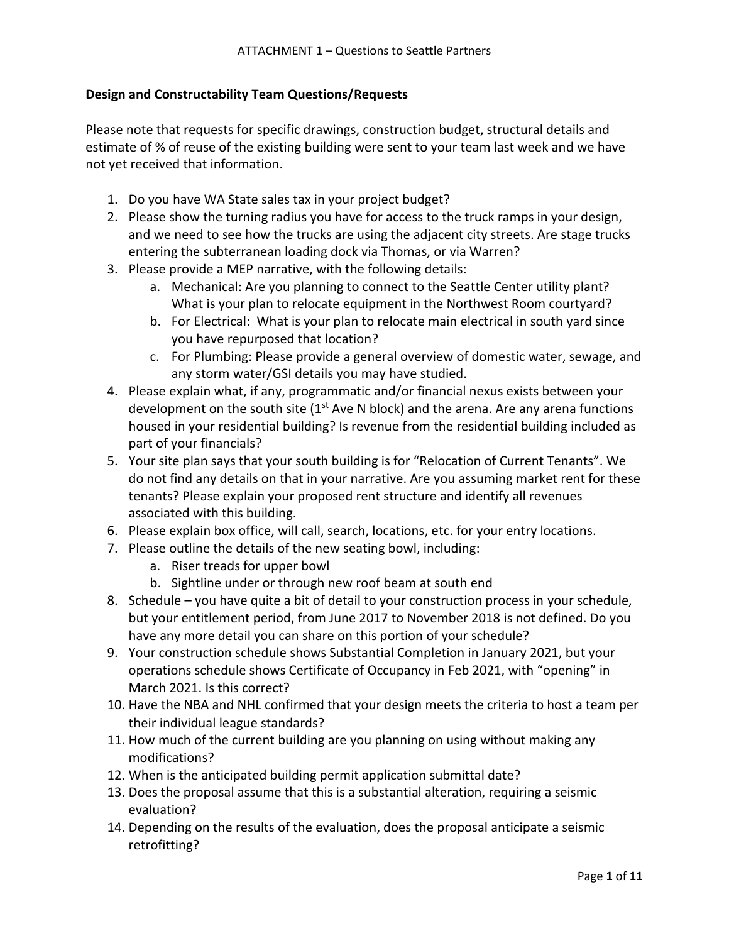# **Design and Constructability Team Questions/Requests**

Please note that requests for specific drawings, construction budget, structural details and estimate of % of reuse of the existing building were sent to your team last week and we have not yet received that information.

- 1. Do you have WA State sales tax in your project budget?
- 2. Please show the turning radius you have for access to the truck ramps in your design, and we need to see how the trucks are using the adjacent city streets. Are stage trucks entering the subterranean loading dock via Thomas, or via Warren?
- 3. Please provide a MEP narrative, with the following details:
	- a. Mechanical: Are you planning to connect to the Seattle Center utility plant? What is your plan to relocate equipment in the Northwest Room courtyard?
	- b. For Electrical: What is your plan to relocate main electrical in south yard since you have repurposed that location?
	- c. For Plumbing: Please provide a general overview of domestic water, sewage, and any storm water/GSI details you may have studied.
- 4. Please explain what, if any, programmatic and/or financial nexus exists between your development on the south site  $(1<sup>st</sup>$  Ave N block) and the arena. Are any arena functions housed in your residential building? Is revenue from the residential building included as part of your financials?
- 5. Your site plan says that your south building is for "Relocation of Current Tenants". We do not find any details on that in your narrative. Are you assuming market rent for these tenants? Please explain your proposed rent structure and identify all revenues associated with this building.
- 6. Please explain box office, will call, search, locations, etc. for your entry locations.
- 7. Please outline the details of the new seating bowl, including:
	- a. Riser treads for upper bowl
	- b. Sightline under or through new roof beam at south end
- 8. Schedule you have quite a bit of detail to your construction process in your schedule, but your entitlement period, from June 2017 to November 2018 is not defined. Do you have any more detail you can share on this portion of your schedule?
- 9. Your construction schedule shows Substantial Completion in January 2021, but your operations schedule shows Certificate of Occupancy in Feb 2021, with "opening" in March 2021. Is this correct?
- 10. Have the NBA and NHL confirmed that your design meets the criteria to host a team per their individual league standards?
- 11. How much of the current building are you planning on using without making any modifications?
- 12. When is the anticipated building permit application submittal date?
- 13. Does the proposal assume that this is a substantial alteration, requiring a seismic evaluation?
- 14. Depending on the results of the evaluation, does the proposal anticipate a seismic retrofitting?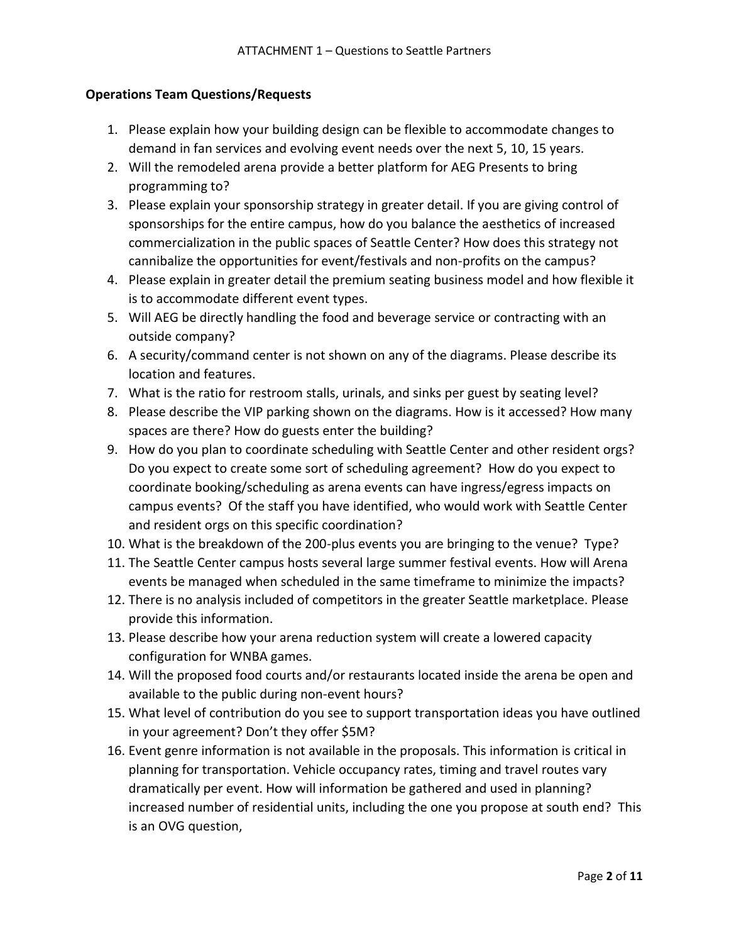# **Operations Team Questions/Requests**

- 1. Please explain how your building design can be flexible to accommodate changes to demand in fan services and evolving event needs over the next 5, 10, 15 years.
- 2. Will the remodeled arena provide a better platform for AEG Presents to bring programming to?
- 3. Please explain your sponsorship strategy in greater detail. If you are giving control of sponsorships for the entire campus, how do you balance the aesthetics of increased commercialization in the public spaces of Seattle Center? How does this strategy not cannibalize the opportunities for event/festivals and non-profits on the campus?
- 4. Please explain in greater detail the premium seating business model and how flexible it is to accommodate different event types.
- 5. Will AEG be directly handling the food and beverage service or contracting with an outside company?
- 6. A security/command center is not shown on any of the diagrams. Please describe its location and features.
- 7. What is the ratio for restroom stalls, urinals, and sinks per guest by seating level?
- 8. Please describe the VIP parking shown on the diagrams. How is it accessed? How many spaces are there? How do guests enter the building?
- 9. How do you plan to coordinate scheduling with Seattle Center and other resident orgs? Do you expect to create some sort of scheduling agreement? How do you expect to coordinate booking/scheduling as arena events can have ingress/egress impacts on campus events? Of the staff you have identified, who would work with Seattle Center and resident orgs on this specific coordination?
- 10. What is the breakdown of the 200-plus events you are bringing to the venue? Type?
- 11. The Seattle Center campus hosts several large summer festival events. How will Arena events be managed when scheduled in the same timeframe to minimize the impacts?
- 12. There is no analysis included of competitors in the greater Seattle marketplace. Please provide this information.
- 13. Please describe how your arena reduction system will create a lowered capacity configuration for WNBA games.
- 14. Will the proposed food courts and/or restaurants located inside the arena be open and available to the public during non-event hours?
- 15. What level of contribution do you see to support transportation ideas you have outlined in your agreement? Don't they offer \$5M?
- 16. Event genre information is not available in the proposals. This information is critical in planning for transportation. Vehicle occupancy rates, timing and travel routes vary dramatically per event. How will information be gathered and used in planning? increased number of residential units, including the one you propose at south end? This is an OVG question,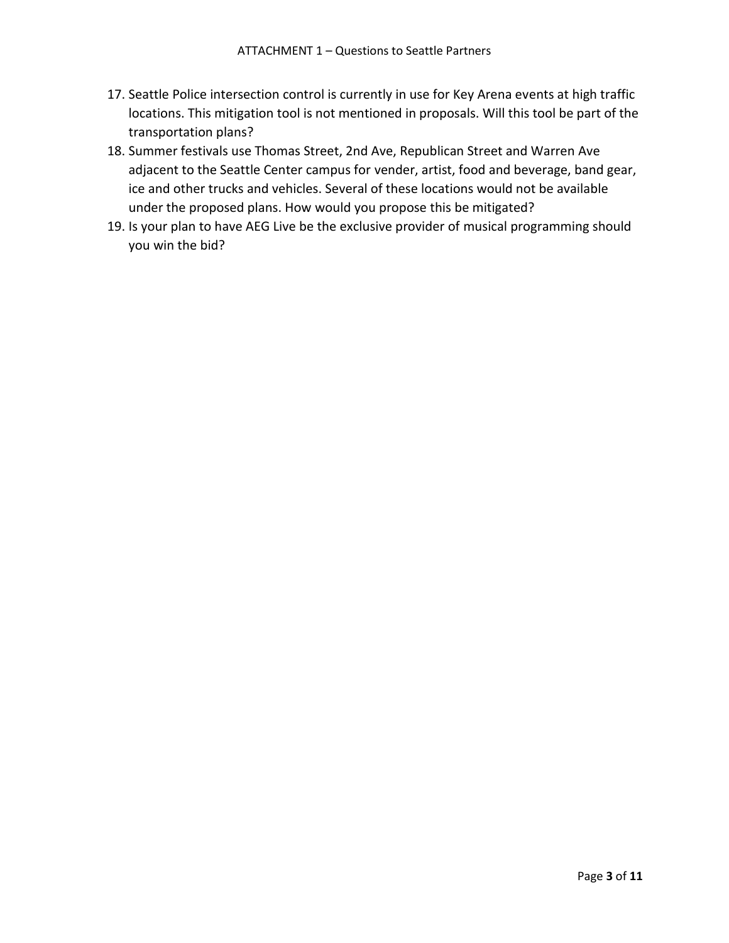- 17. Seattle Police intersection control is currently in use for Key Arena events at high traffic locations. This mitigation tool is not mentioned in proposals. Will this tool be part of the transportation plans?
- 18. Summer festivals use Thomas Street, 2nd Ave, Republican Street and Warren Ave adjacent to the Seattle Center campus for vender, artist, food and beverage, band gear, ice and other trucks and vehicles. Several of these locations would not be available under the proposed plans. How would you propose this be mitigated?
- 19. Is your plan to have AEG Live be the exclusive provider of musical programming should you win the bid?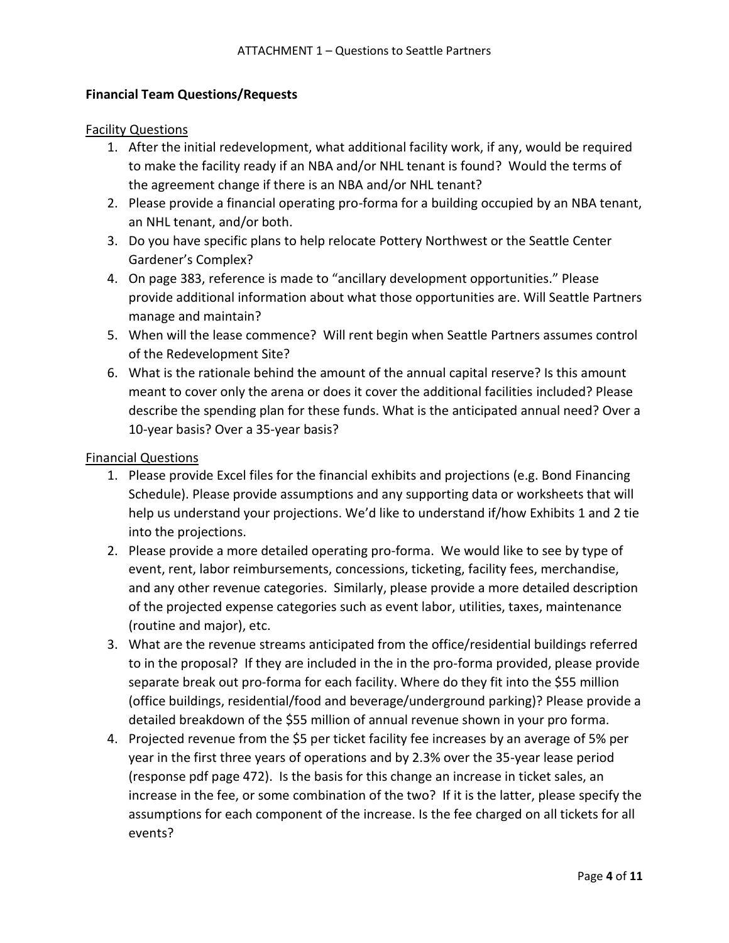# **Financial Team Questions/Requests**

#### Facility Questions

- 1. After the initial redevelopment, what additional facility work, if any, would be required to make the facility ready if an NBA and/or NHL tenant is found? Would the terms of the agreement change if there is an NBA and/or NHL tenant?
- 2. Please provide a financial operating pro-forma for a building occupied by an NBA tenant, an NHL tenant, and/or both.
- 3. Do you have specific plans to help relocate Pottery Northwest or the Seattle Center Gardener's Complex?
- 4. On page 383, reference is made to "ancillary development opportunities." Please provide additional information about what those opportunities are. Will Seattle Partners manage and maintain?
- 5. When will the lease commence? Will rent begin when Seattle Partners assumes control of the Redevelopment Site?
- 6. What is the rationale behind the amount of the annual capital reserve? Is this amount meant to cover only the arena or does it cover the additional facilities included? Please describe the spending plan for these funds. What is the anticipated annual need? Over a 10-year basis? Over a 35-year basis?

#### Financial Questions

- 1. Please provide Excel files for the financial exhibits and projections (e.g. Bond Financing Schedule). Please provide assumptions and any supporting data or worksheets that will help us understand your projections. We'd like to understand if/how Exhibits 1 and 2 tie into the projections.
- 2. Please provide a more detailed operating pro-forma. We would like to see by type of event, rent, labor reimbursements, concessions, ticketing, facility fees, merchandise, and any other revenue categories. Similarly, please provide a more detailed description of the projected expense categories such as event labor, utilities, taxes, maintenance (routine and major), etc.
- 3. What are the revenue streams anticipated from the office/residential buildings referred to in the proposal? If they are included in the in the pro-forma provided, please provide separate break out pro-forma for each facility. Where do they fit into the \$55 million (office buildings, residential/food and beverage/underground parking)? Please provide a detailed breakdown of the \$55 million of annual revenue shown in your pro forma.
- 4. Projected revenue from the \$5 per ticket facility fee increases by an average of 5% per year in the first three years of operations and by 2.3% over the 35-year lease period (response pdf page 472). Is the basis for this change an increase in ticket sales, an increase in the fee, or some combination of the two? If it is the latter, please specify the assumptions for each component of the increase. Is the fee charged on all tickets for all events?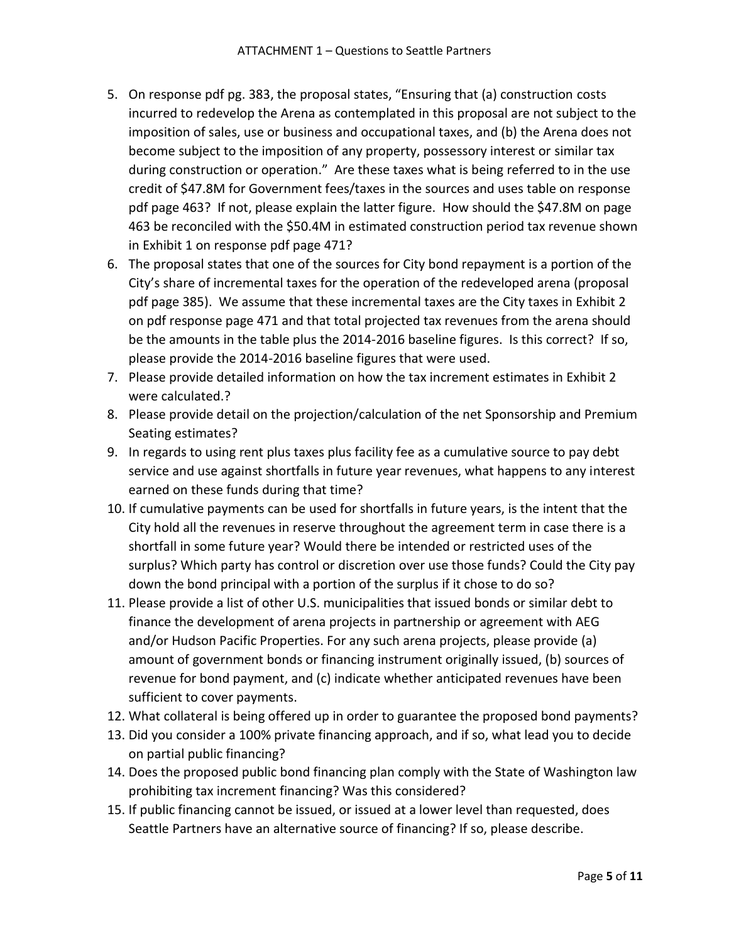- 5. On response pdf pg. 383, the proposal states, "Ensuring that (a) construction costs incurred to redevelop the Arena as contemplated in this proposal are not subject to the imposition of sales, use or business and occupational taxes, and (b) the Arena does not become subject to the imposition of any property, possessory interest or similar tax during construction or operation." Are these taxes what is being referred to in the use credit of \$47.8M for Government fees/taxes in the sources and uses table on response pdf page 463? If not, please explain the latter figure. How should the \$47.8M on page 463 be reconciled with the \$50.4M in estimated construction period tax revenue shown in Exhibit 1 on response pdf page 471?
- 6. The proposal states that one of the sources for City bond repayment is a portion of the City's share of incremental taxes for the operation of the redeveloped arena (proposal pdf page 385). We assume that these incremental taxes are the City taxes in Exhibit 2 on pdf response page 471 and that total projected tax revenues from the arena should be the amounts in the table plus the 2014-2016 baseline figures. Is this correct? If so, please provide the 2014-2016 baseline figures that were used.
- 7. Please provide detailed information on how the tax increment estimates in Exhibit 2 were calculated.?
- 8. Please provide detail on the projection/calculation of the net Sponsorship and Premium Seating estimates?
- 9. In regards to using rent plus taxes plus facility fee as a cumulative source to pay debt service and use against shortfalls in future year revenues, what happens to any interest earned on these funds during that time?
- 10. If cumulative payments can be used for shortfalls in future years, is the intent that the City hold all the revenues in reserve throughout the agreement term in case there is a shortfall in some future year? Would there be intended or restricted uses of the surplus? Which party has control or discretion over use those funds? Could the City pay down the bond principal with a portion of the surplus if it chose to do so?
- 11. Please provide a list of other U.S. municipalities that issued bonds or similar debt to finance the development of arena projects in partnership or agreement with AEG and/or Hudson Pacific Properties. For any such arena projects, please provide (a) amount of government bonds or financing instrument originally issued, (b) sources of revenue for bond payment, and (c) indicate whether anticipated revenues have been sufficient to cover payments.
- 12. What collateral is being offered up in order to guarantee the proposed bond payments?
- 13. Did you consider a 100% private financing approach, and if so, what lead you to decide on partial public financing?
- 14. Does the proposed public bond financing plan comply with the State of Washington law prohibiting tax increment financing? Was this considered?
- 15. If public financing cannot be issued, or issued at a lower level than requested, does Seattle Partners have an alternative source of financing? If so, please describe.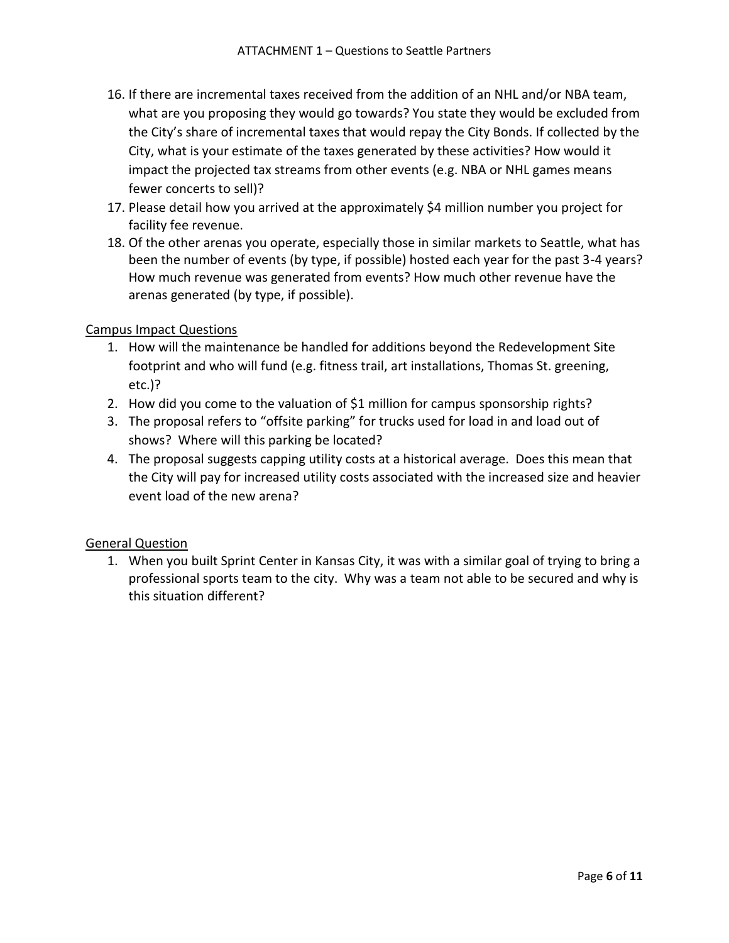- 16. If there are incremental taxes received from the addition of an NHL and/or NBA team, what are you proposing they would go towards? You state they would be excluded from the City's share of incremental taxes that would repay the City Bonds. If collected by the City, what is your estimate of the taxes generated by these activities? How would it impact the projected tax streams from other events (e.g. NBA or NHL games means fewer concerts to sell)?
- 17. Please detail how you arrived at the approximately \$4 million number you project for facility fee revenue.
- 18. Of the other arenas you operate, especially those in similar markets to Seattle, what has been the number of events (by type, if possible) hosted each year for the past 3-4 years? How much revenue was generated from events? How much other revenue have the arenas generated (by type, if possible).

# Campus Impact Questions

- 1. How will the maintenance be handled for additions beyond the Redevelopment Site footprint and who will fund (e.g. fitness trail, art installations, Thomas St. greening, etc.)?
- 2. How did you come to the valuation of \$1 million for campus sponsorship rights?
- 3. The proposal refers to "offsite parking" for trucks used for load in and load out of shows? Where will this parking be located?
- 4. The proposal suggests capping utility costs at a historical average. Does this mean that the City will pay for increased utility costs associated with the increased size and heavier event load of the new arena?

# General Question

1. When you built Sprint Center in Kansas City, it was with a similar goal of trying to bring a professional sports team to the city. Why was a team not able to be secured and why is this situation different?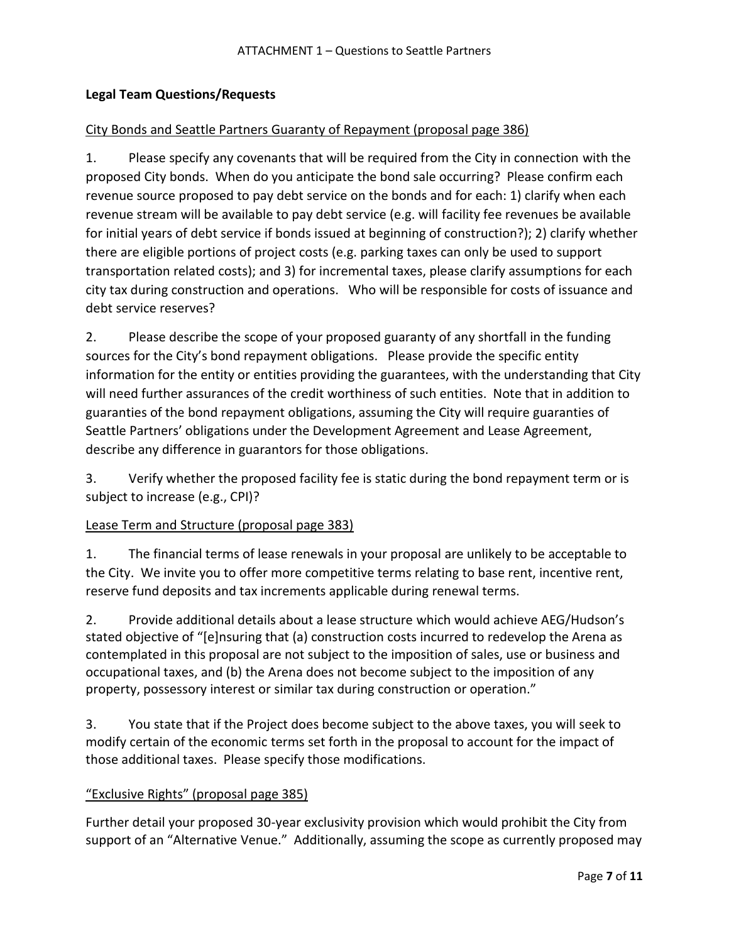# **Legal Team Questions/Requests**

## City Bonds and Seattle Partners Guaranty of Repayment (proposal page 386)

1. Please specify any covenants that will be required from the City in connection with the proposed City bonds. When do you anticipate the bond sale occurring? Please confirm each revenue source proposed to pay debt service on the bonds and for each: 1) clarify when each revenue stream will be available to pay debt service (e.g. will facility fee revenues be available for initial years of debt service if bonds issued at beginning of construction?); 2) clarify whether there are eligible portions of project costs (e.g. parking taxes can only be used to support transportation related costs); and 3) for incremental taxes, please clarify assumptions for each city tax during construction and operations. Who will be responsible for costs of issuance and debt service reserves?

2. Please describe the scope of your proposed guaranty of any shortfall in the funding sources for the City's bond repayment obligations. Please provide the specific entity information for the entity or entities providing the guarantees, with the understanding that City will need further assurances of the credit worthiness of such entities. Note that in addition to guaranties of the bond repayment obligations, assuming the City will require guaranties of Seattle Partners' obligations under the Development Agreement and Lease Agreement, describe any difference in guarantors for those obligations.

3. Verify whether the proposed facility fee is static during the bond repayment term or is subject to increase (e.g., CPI)?

# Lease Term and Structure (proposal page 383)

1. The financial terms of lease renewals in your proposal are unlikely to be acceptable to the City. We invite you to offer more competitive terms relating to base rent, incentive rent, reserve fund deposits and tax increments applicable during renewal terms.

2. Provide additional details about a lease structure which would achieve AEG/Hudson's stated objective of "[e]nsuring that (a) construction costs incurred to redevelop the Arena as contemplated in this proposal are not subject to the imposition of sales, use or business and occupational taxes, and (b) the Arena does not become subject to the imposition of any property, possessory interest or similar tax during construction or operation."

3. You state that if the Project does become subject to the above taxes, you will seek to modify certain of the economic terms set forth in the proposal to account for the impact of those additional taxes. Please specify those modifications.

# "Exclusive Rights" (proposal page 385)

Further detail your proposed 30-year exclusivity provision which would prohibit the City from support of an "Alternative Venue." Additionally, assuming the scope as currently proposed may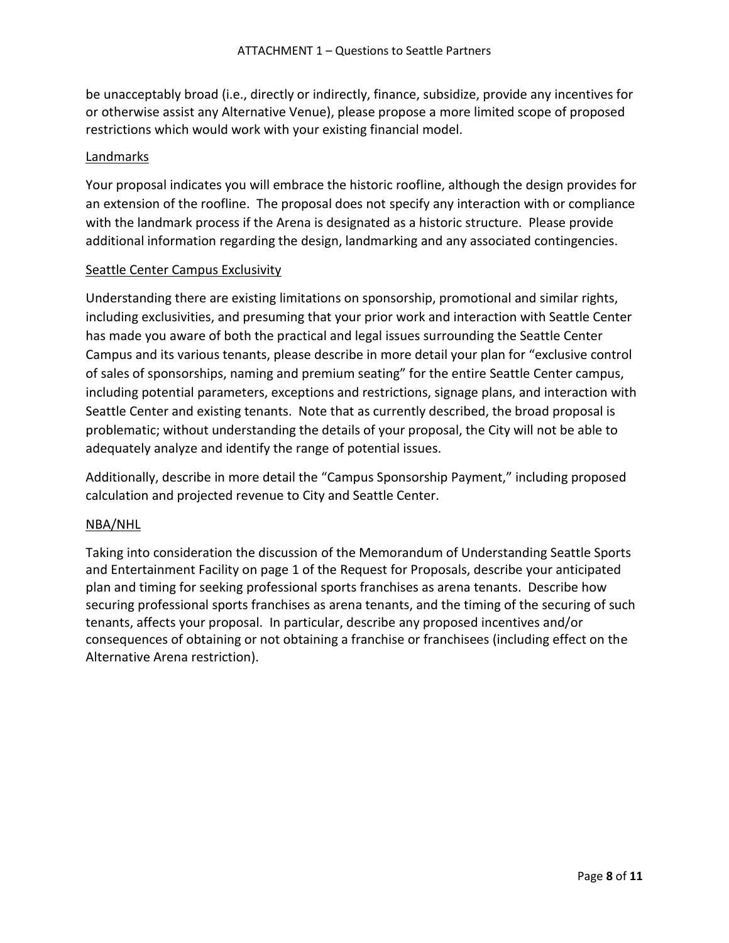be unacceptably broad (i.e., directly or indirectly, finance, subsidize, provide any incentives for or otherwise assist any Alternative Venue), please propose a more limited scope of proposed restrictions which would work with your existing financial model.

## Landmarks

Your proposal indicates you will embrace the historic roofline, although the design provides for an extension of the roofline. The proposal does not specify any interaction with or compliance with the landmark process if the Arena is designated as a historic structure. Please provide additional information regarding the design, landmarking and any associated contingencies.

#### Seattle Center Campus Exclusivity

Understanding there are existing limitations on sponsorship, promotional and similar rights, including exclusivities, and presuming that your prior work and interaction with Seattle Center has made you aware of both the practical and legal issues surrounding the Seattle Center Campus and its various tenants, please describe in more detail your plan for "exclusive control of sales of sponsorships, naming and premium seating" for the entire Seattle Center campus, including potential parameters, exceptions and restrictions, signage plans, and interaction with Seattle Center and existing tenants. Note that as currently described, the broad proposal is problematic; without understanding the details of your proposal, the City will not be able to adequately analyze and identify the range of potential issues.

Additionally, describe in more detail the "Campus Sponsorship Payment," including proposed calculation and projected revenue to City and Seattle Center.

#### NBA/NHL

Taking into consideration the discussion of the Memorandum of Understanding Seattle Sports and Entertainment Facility on page 1 of the Request for Proposals, describe your anticipated plan and timing for seeking professional sports franchises as arena tenants. Describe how securing professional sports franchises as arena tenants, and the timing of the securing of such tenants, affects your proposal. In particular, describe any proposed incentives and/or consequences of obtaining or not obtaining a franchise or franchisees (including effect on the Alternative Arena restriction).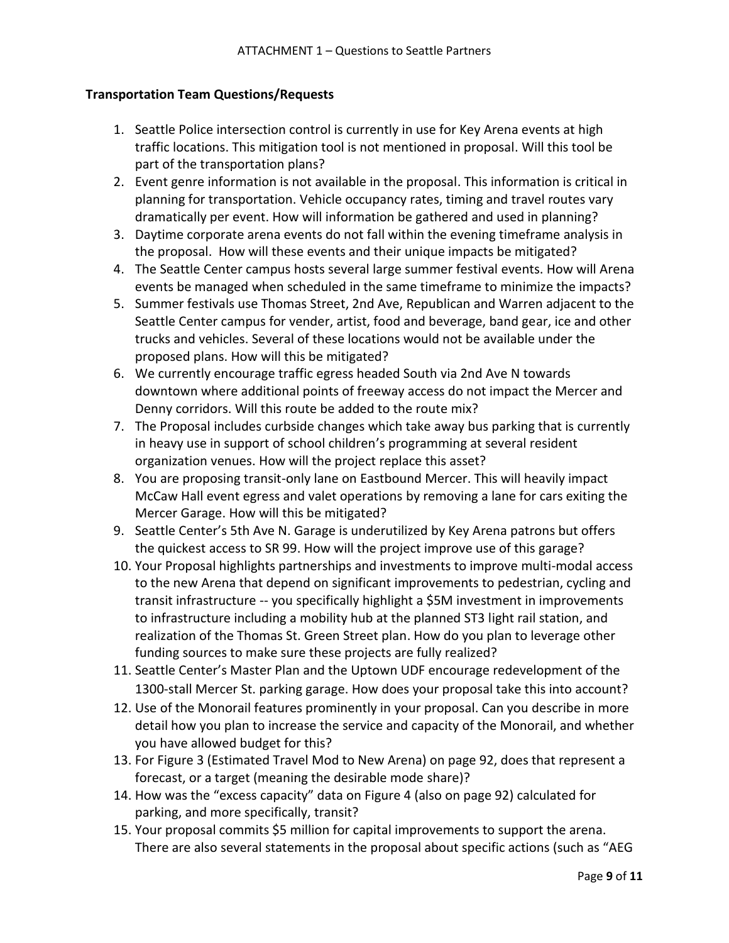# **Transportation Team Questions/Requests**

- 1. Seattle Police intersection control is currently in use for Key Arena events at high traffic locations. This mitigation tool is not mentioned in proposal. Will this tool be part of the transportation plans?
- 2. Event genre information is not available in the proposal. This information is critical in planning for transportation. Vehicle occupancy rates, timing and travel routes vary dramatically per event. How will information be gathered and used in planning?
- 3. Daytime corporate arena events do not fall within the evening timeframe analysis in the proposal. How will these events and their unique impacts be mitigated?
- 4. The Seattle Center campus hosts several large summer festival events. How will Arena events be managed when scheduled in the same timeframe to minimize the impacts?
- 5. Summer festivals use Thomas Street, 2nd Ave, Republican and Warren adjacent to the Seattle Center campus for vender, artist, food and beverage, band gear, ice and other trucks and vehicles. Several of these locations would not be available under the proposed plans. How will this be mitigated?
- 6. We currently encourage traffic egress headed South via 2nd Ave N towards downtown where additional points of freeway access do not impact the Mercer and Denny corridors. Will this route be added to the route mix?
- 7. The Proposal includes curbside changes which take away bus parking that is currently in heavy use in support of school children's programming at several resident organization venues. How will the project replace this asset?
- 8. You are proposing transit-only lane on Eastbound Mercer. This will heavily impact McCaw Hall event egress and valet operations by removing a lane for cars exiting the Mercer Garage. How will this be mitigated?
- 9. Seattle Center's 5th Ave N. Garage is underutilized by Key Arena patrons but offers the quickest access to SR 99. How will the project improve use of this garage?
- 10. Your Proposal highlights partnerships and investments to improve multi-modal access to the new Arena that depend on significant improvements to pedestrian, cycling and transit infrastructure -- you specifically highlight a \$5M investment in improvements to infrastructure including a mobility hub at the planned ST3 light rail station, and realization of the Thomas St. Green Street plan. How do you plan to leverage other funding sources to make sure these projects are fully realized?
- 11. Seattle Center's Master Plan and the Uptown UDF encourage redevelopment of the 1300-stall Mercer St. parking garage. How does your proposal take this into account?
- 12. Use of the Monorail features prominently in your proposal. Can you describe in more detail how you plan to increase the service and capacity of the Monorail, and whether you have allowed budget for this?
- 13. For Figure 3 (Estimated Travel Mod to New Arena) on page 92, does that represent a forecast, or a target (meaning the desirable mode share)?
- 14. How was the "excess capacity" data on Figure 4 (also on page 92) calculated for parking, and more specifically, transit?
- 15. Your proposal commits \$5 million for capital improvements to support the arena. There are also several statements in the proposal about specific actions (such as "AEG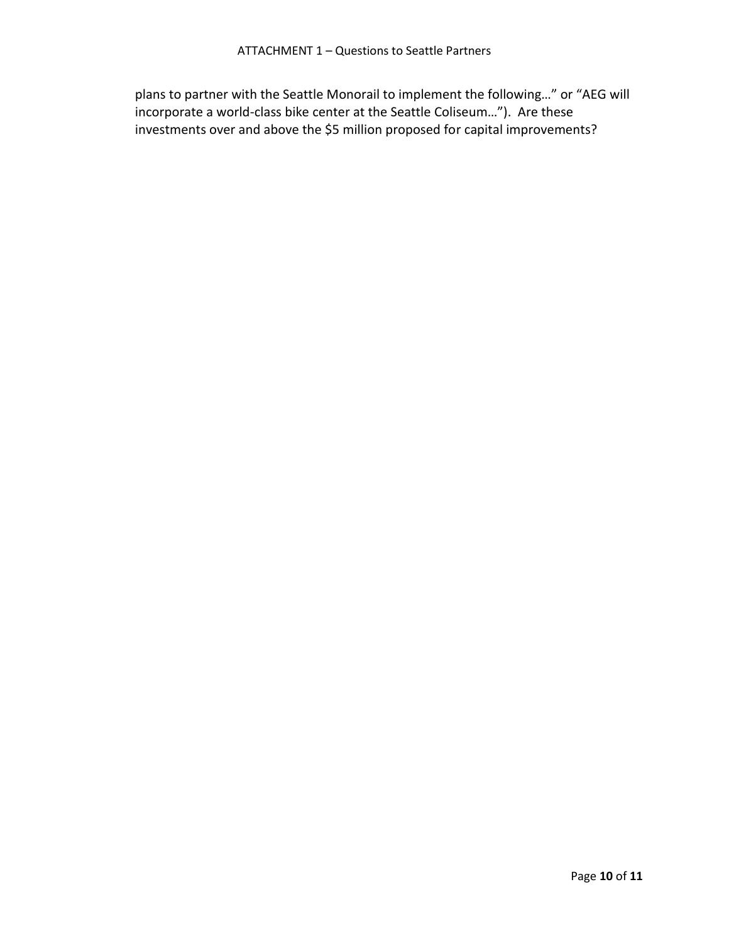plans to partner with the Seattle Monorail to implement the following…" or "AEG will incorporate a world-class bike center at the Seattle Coliseum…"). Are these investments over and above the \$5 million proposed for capital improvements?